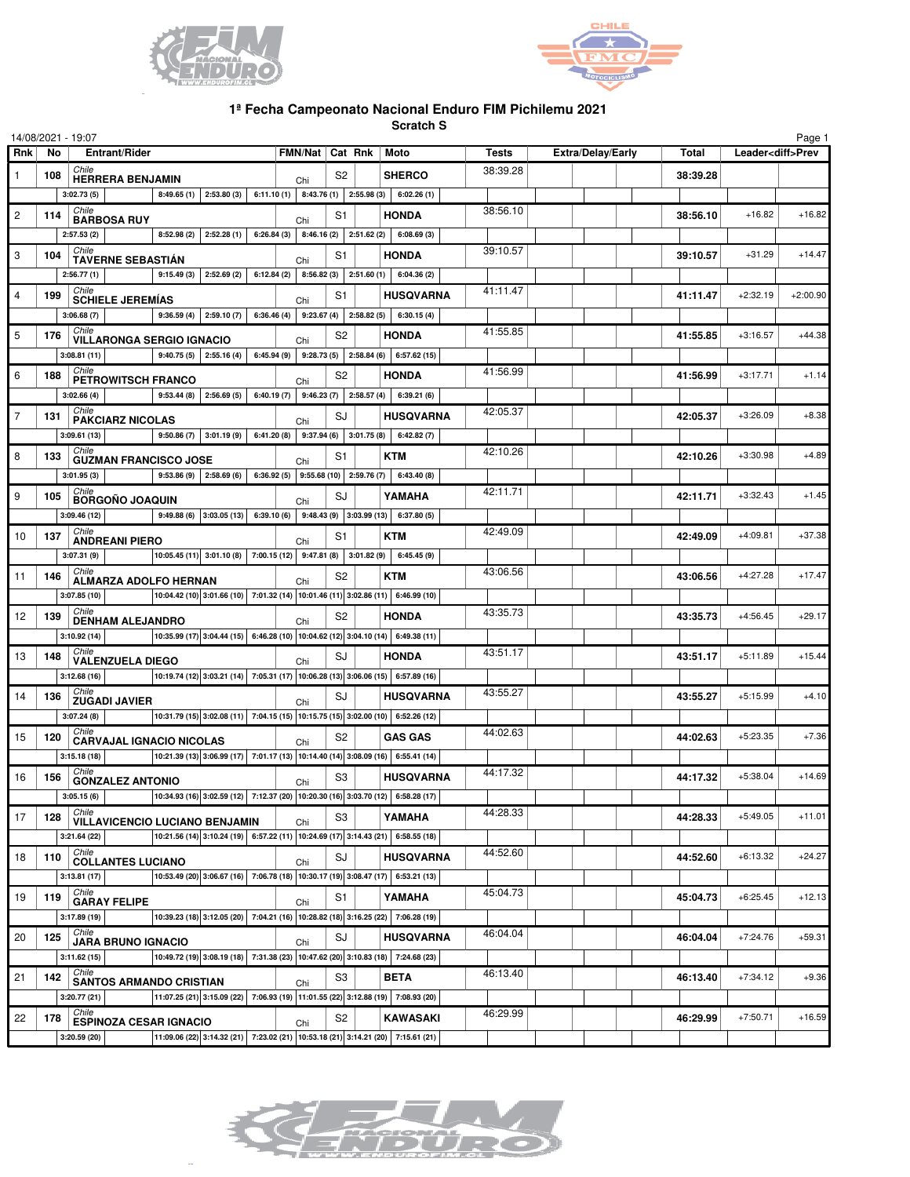



## **1ª Fecha Campeonato Nacional Enduro FIM Pichilemu 2021**

**Scratch S**

| 14/08/2021 - 19:07<br>Page 1 |                                                                            |                                                                                                                                                       |                                                            |                |                         |                                                |                          |          |                          |            |
|------------------------------|----------------------------------------------------------------------------|-------------------------------------------------------------------------------------------------------------------------------------------------------|------------------------------------------------------------|----------------|-------------------------|------------------------------------------------|--------------------------|----------|--------------------------|------------|
| Rnk                          | No                                                                         | <b>Entrant/Rider</b>                                                                                                                                  | FMN/Nat   Cat Rnk   Moto                                   |                |                         | Tests                                          | <b>Extra/Delay/Early</b> | Total    | Leader <diff>Prev</diff> |            |
| $\mathbf{1}$                 | 108                                                                        | Chile<br><b>HERRERA BENJAMIN</b>                                                                                                                      | Chi                                                        | S <sub>2</sub> |                         | 38:39.28<br><b>SHERCO</b>                      |                          | 38:39.28 |                          |            |
|                              |                                                                            | $8:49.65(1)$ 2:53.80(3)<br>3:02.73(5)                                                                                                                 | 6:11.10 (1)   8:43.76 (1)   2:55.98 (3)                    |                |                         | 6:02.26(1)                                     |                          |          |                          |            |
| $\overline{c}$               | 114                                                                        | Chile<br><b>BARBOSA RUY</b>                                                                                                                           | Chi                                                        | S1             |                         | 38:56.10<br><b>HONDA</b>                       |                          | 38:56.10 | $+16.82$                 | $+16.82$   |
|                              |                                                                            | $8:52.98(2)$ 2:52.28(1)<br>2:57.53(2)                                                                                                                 | $6:26.84(3)$ 8:46.16(2) 2:51.62(2) 6:08.69(3)              |                |                         |                                                |                          |          |                          |            |
| 3                            | 104                                                                        | Chile<br><b>TAVERNE SEBASTIAN</b>                                                                                                                     | Chi                                                        | S1             |                         | 39:10.57<br><b>HONDA</b>                       |                          | 39:10.57 | $+31.29$                 | $+14.47$   |
|                              |                                                                            | 2:56.77(1)<br>$9:15.49(3)$ 2:52.69(2)                                                                                                                 | 6:12.84(2)<br>8:56.82(3)                                   |                | 2:51.60(1)              | 6:04.36(2)                                     |                          |          |                          |            |
| $\overline{4}$               | 199                                                                        | Chile<br><b>SCHIELE JEREMÍAS</b>                                                                                                                      |                                                            | S1             |                         | 41:11.47<br><b>HUSQVARNA</b>                   |                          | 41:11.47 | $+2:32.19$               | $+2:00.90$ |
|                              |                                                                            | 3:06.68(7)<br>$9:36.59(4)$ 2:59.10(7)                                                                                                                 | Chi<br>$6:36.46(4)$   9:23.67(4)   2:58.82(5)   6:30.15(4) |                |                         |                                                |                          |          |                          |            |
| 5                            | 176                                                                        | Chile                                                                                                                                                 | Chi                                                        | S2             |                         | 41:55.85<br><b>HONDA</b>                       |                          | 41:55.85 | $+3:16.57$               | $+44.38$   |
|                              | <b>VILLARONGA SERGIO IGNACIO</b><br>3:08.81(11)<br>$9:40.75(5)$ 2:55.16(4) |                                                                                                                                                       |                                                            |                |                         | $6:45.94(9)$ 9:28.73(5) 2:58.84(6) 6:57.62(15) |                          |          |                          |            |
| 6                            | 188                                                                        | Chile                                                                                                                                                 |                                                            | S2             |                         | 41:56.99<br><b>HONDA</b>                       |                          | 41:56.99 | $+3:17.71$               | $+1.14$    |
|                              |                                                                            | <b>PETROWITSCH FRANCO</b><br>$9:53.44(8)$ 2:56.69(5)<br>3:02.66(4)                                                                                    | Chi<br>6:40.19 (7) 9:46.23 (7) 2:58.57 (4) 6:39.21 (6)     |                |                         |                                                |                          |          |                          |            |
| $\overline{7}$               |                                                                            | Chile                                                                                                                                                 |                                                            |                |                         | 42:05.37                                       |                          | 42:05.37 | $+3:26.09$               | $+8.38$    |
|                              | 131                                                                        | <b>PAKCIARZ NICOLAS</b><br>$9:50.86(7)$ 3:01.19(9)                                                                                                    | Chi<br>6:41.20(8)                                          | SJ             | $9:37.94(6)$ 3:01.75(8) | <b>HUSQVARNA</b>                               |                          |          |                          |            |
|                              |                                                                            | 3:09.61(13)<br>Chile                                                                                                                                  |                                                            |                |                         | 6:42.82(7)<br>42:10.26                         |                          |          |                          |            |
| 8                            | 133                                                                        | <b>GUZMAN FRANCISCO JOSE</b>                                                                                                                          | Chi                                                        | S1             |                         | <b>KTM</b>                                     |                          | 42:10.26 | $+3:30.98$               | $+4.89$    |
|                              |                                                                            | 3:01.95(3)<br>$9:53.86(9)$ 2:58.69(6)<br>Chile                                                                                                        | 6:36.92 (5) 9:55.68 (10) 2:59.76 (7)                       |                |                         | 6:43.40(8)<br>42:11.71                         |                          |          |                          |            |
| 9                            | 105                                                                        | <b>BORGOÑO JOAQUIN</b>                                                                                                                                | Chi                                                        | SJ             |                         | YAMAHA                                         |                          | 42:11.71 | $+3:32.43$               | $+1.45$    |
|                              |                                                                            | 9:49.88 (6) $ 3.03.05(13) $ 6:39.10 (6) 9:48.43 (9) 3:03.99 (13) 6:37.80 (5)<br>3:09.46 (12)                                                          |                                                            |                |                         |                                                |                          |          |                          |            |
| 10                           | 137                                                                        | Chile<br><b>ANDREANI PIERO</b>                                                                                                                        | Chi                                                        | S1             |                         | 42:49.09<br><b>KTM</b>                         |                          | 42:49.09 | $+4:09.81$               | $+37.38$   |
|                              |                                                                            | $\vert$ 10:05.45 (11) 3:01.10 (8) 7:00.15 (12) 9:47.81 (8) 3:01.82 (9) 6:45.45 (9)<br>3:07.31(9)                                                      |                                                            |                |                         |                                                |                          |          |                          |            |
| 11                           | 146                                                                        | Chile<br><b>ALMARZA ADOLFO HERNAN</b>                                                                                                                 | Chi                                                        | S2             |                         | 43:06.56<br><b>KTM</b>                         |                          | 43:06.56 | $+4:27.28$               | $+17.47$   |
|                              |                                                                            | 10:04.42 (10) 3:01.66 (10) 7:01.32 (14) 10:01.46 (11) 3:02.86 (11) 6:46.99 (10)<br>3:07.85(10)                                                        |                                                            |                |                         |                                                |                          |          |                          |            |
| 12                           | 139                                                                        | Chile<br><b>DENHAM ALEJANDRO</b>                                                                                                                      | Chi                                                        | S2             |                         | 43:35.73<br><b>HONDA</b>                       |                          | 43:35.73 | $+4:56.45$               | $+29.17$   |
|                              |                                                                            | 10:35.99 (17) 3:04.44 (15) 6:46.28 (10) 10:04.62 (12) 3:04.10 (14) 6:49.38 (11)<br>3:10.92(14)                                                        |                                                            |                |                         |                                                |                          |          |                          |            |
| 13                           | 148                                                                        | Chile<br><b>VALENZUELA DIEGO</b>                                                                                                                      | Chi                                                        | SJ             |                         | 43:51.17<br><b>HONDA</b>                       |                          | 43:51.17 | $+5:11.89$               | $+15.44$   |
|                              |                                                                            | 10:19.74 (12) 3:03.21 (14) 7:05.31 (17) 10:06.28 (13) 3:06.06 (15) 6:57.89 (16)<br>3:12.68(16)                                                        |                                                            |                |                         |                                                |                          |          |                          |            |
| 14                           | 136                                                                        | Chile<br><b>ZUGADI JAVIER</b>                                                                                                                         | Chi                                                        | SJ             |                         | 43:55.27<br><b>HUSQVARNA</b>                   |                          | 43:55.27 | $+5:15.99$               | $+4.10$    |
|                              |                                                                            | 10:31.79 (15) 3:02.08 (11) 7:04.15 (15) 10:15.75 (15) 3:02.00 (10) 6:52.26 (12)<br>3:07.24(8)                                                         |                                                            |                |                         |                                                |                          |          |                          |            |
| 15                           | 120                                                                        | Chile<br><b>CARVAJAL IGNACIO NICOLAS</b>                                                                                                              |                                                            | S2             |                         | 44:02.63<br><b>GAS GAS</b>                     |                          | 44:02.63 | $+5:23.35$               | $+7.36$    |
|                              |                                                                            | $\vert$ 10:21.39 (13) $\vert$ 3:06.99 (17) $\vert$ 7:01.17 (13) $\vert$ 10:14.40 (14) $\vert$ 3:08.09 (16) $\vert$ 6:55.41 (14)<br>3:15.18(18)        | Chi                                                        |                |                         |                                                |                          |          |                          |            |
| 16                           | 156                                                                        | Chile                                                                                                                                                 |                                                            | S3             |                         | 44:17.32<br><b>HUSQVARNA</b>                   |                          | 44:17.32 | $+5:38.04$               | $+14.69$   |
|                              |                                                                            | <b>GONZALEZ ANTONIO</b><br>3:05.15(6)                                                                                                                 | Chi                                                        |                |                         |                                                |                          |          |                          |            |
| 17                           |                                                                            | Chile                                                                                                                                                 |                                                            | S3             |                         | 44:28.33<br>YAMAHA                             |                          | 44:28.33 | $+5:49.05$               | $+11.01$   |
|                              | 128                                                                        | <b>VILLAVICENCIO LUCIANO BENJAMIN</b><br>10:21.56 (14) 3:10.24 (19) 6:57.22 (11) 10:24.69 (17) 3:14.43 (21) 6:58.55 (18)                              | Chi                                                        |                |                         |                                                |                          |          |                          |            |
|                              |                                                                            | 3:21.64(22)<br>Chile                                                                                                                                  |                                                            |                |                         | 44:52.60                                       |                          |          |                          |            |
| 18                           | 110                                                                        | <b>COLLANTES LUCIANO</b>                                                                                                                              | Chi                                                        | SJ             |                         | <b>HUSQVARNA</b>                               |                          | 44:52.60 | $+6:13.32$               | $+24.27$   |
|                              |                                                                            | 10:53.49 (20) 3:06.67 (16) 7:06.78 (18) 10:30.17 (19) 3:08.47 (17) 6:53.21 (13)<br>3:13.81(17)<br>Chile                                               |                                                            |                |                         | 45:04.73                                       |                          |          |                          |            |
| 19                           | 119                                                                        | <b>GARAY FELIPE</b>                                                                                                                                   | Chi                                                        | S1             |                         | YAMAHA                                         |                          | 45:04.73 | $+6:25.45$               | $+12.13$   |
|                              |                                                                            | $\big  10:39.23 \ (18) \big  3:12.05 \ (20) \big  7:04.21 \ (16) \ \big  10:28.82 \ (18) \ \big  3:16.25 \ (22) \big  7:06.28 \ (19)$<br>3:17.89 (19) |                                                            |                |                         |                                                |                          |          |                          |            |
| 20                           | 125                                                                        | Chile<br>JARA BRUNO IGNACIO                                                                                                                           | Chi                                                        | SJ             |                         | 46:04.04<br><b>HUSQVARNA</b>                   |                          | 46:04.04 | $+7:24.76$               | $+59.31$   |
|                              |                                                                            | 10:49.72 (19) 3:08.19 (18) 7:31.38 (23) 10:47.62 (20) 3:10.83 (18) 7:24.68 (23)<br>3:11.62(15)                                                        |                                                            |                |                         |                                                |                          |          |                          |            |
| 21                           | 142                                                                        | Chile<br><b>SANTOS ARMANDO CRISTIAN</b>                                                                                                               | Chi                                                        | S3             |                         | 46:13.40<br><b>BETA</b>                        |                          | 46:13.40 | $+7:34.12$               | $+9.36$    |
|                              |                                                                            | 11:07.25 (21) 3:15.09 (22) 7:06.93 (19) 11:01.55 (22) 3:12.88 (19) 7:08.93 (20)<br>3:20.77(21)                                                        |                                                            |                |                         |                                                |                          |          |                          |            |
| 22                           | 178                                                                        | Chile<br><b>ESPINOZA CESAR IGNACIO</b>                                                                                                                | Chi                                                        | S2             |                         | 46:29.99<br>KAWASAKI                           |                          | 46:29.99 | $+7:50.71$               | $+16.59$   |
|                              |                                                                            | 11:09.06 (22) 3:14.32 (21) 7:23.02 (21) 10:53.18 (21) 3:14.21 (20) 7:15.61 (21)<br>3:20.59 (20)                                                       |                                                            |                |                         |                                                |                          |          |                          |            |